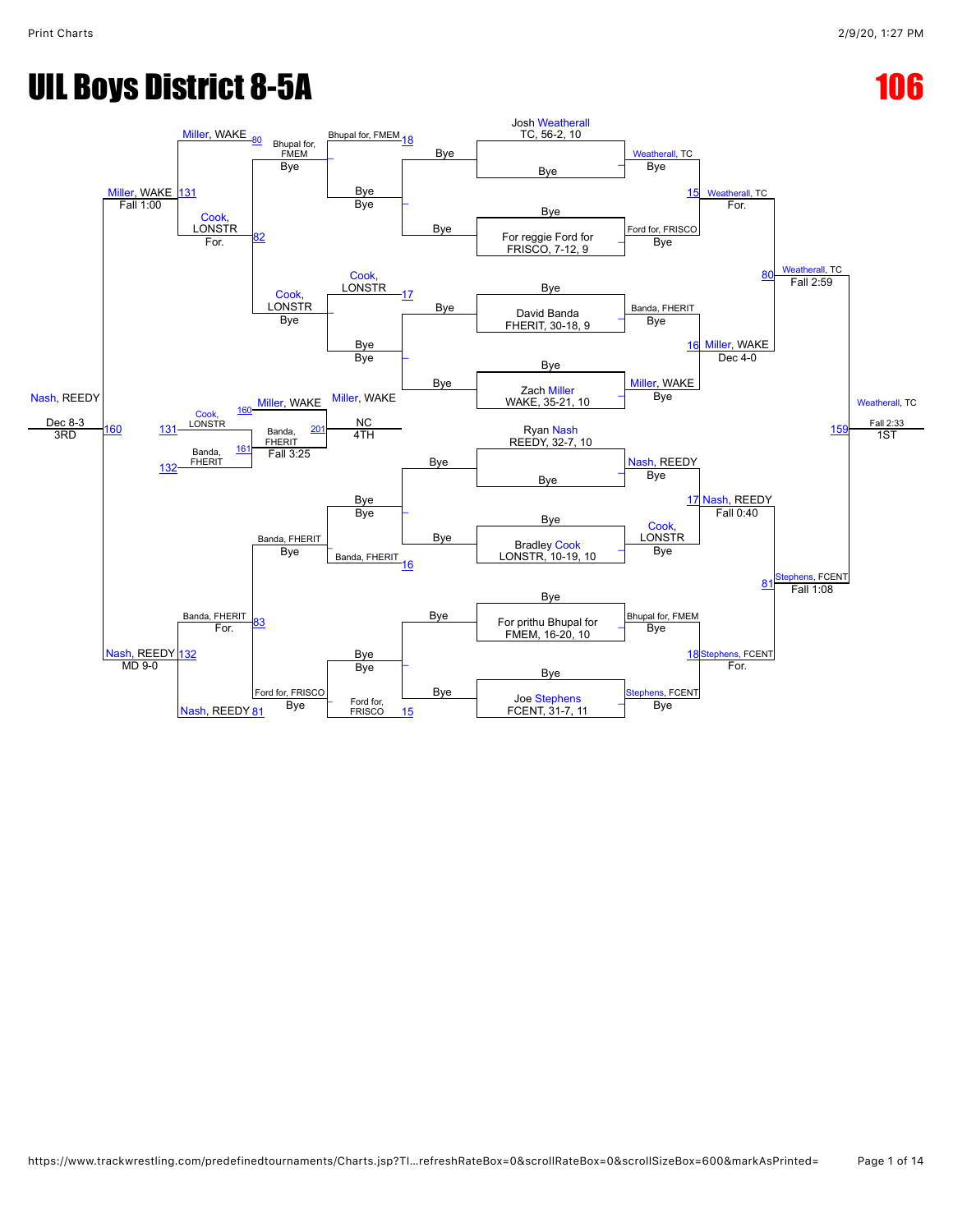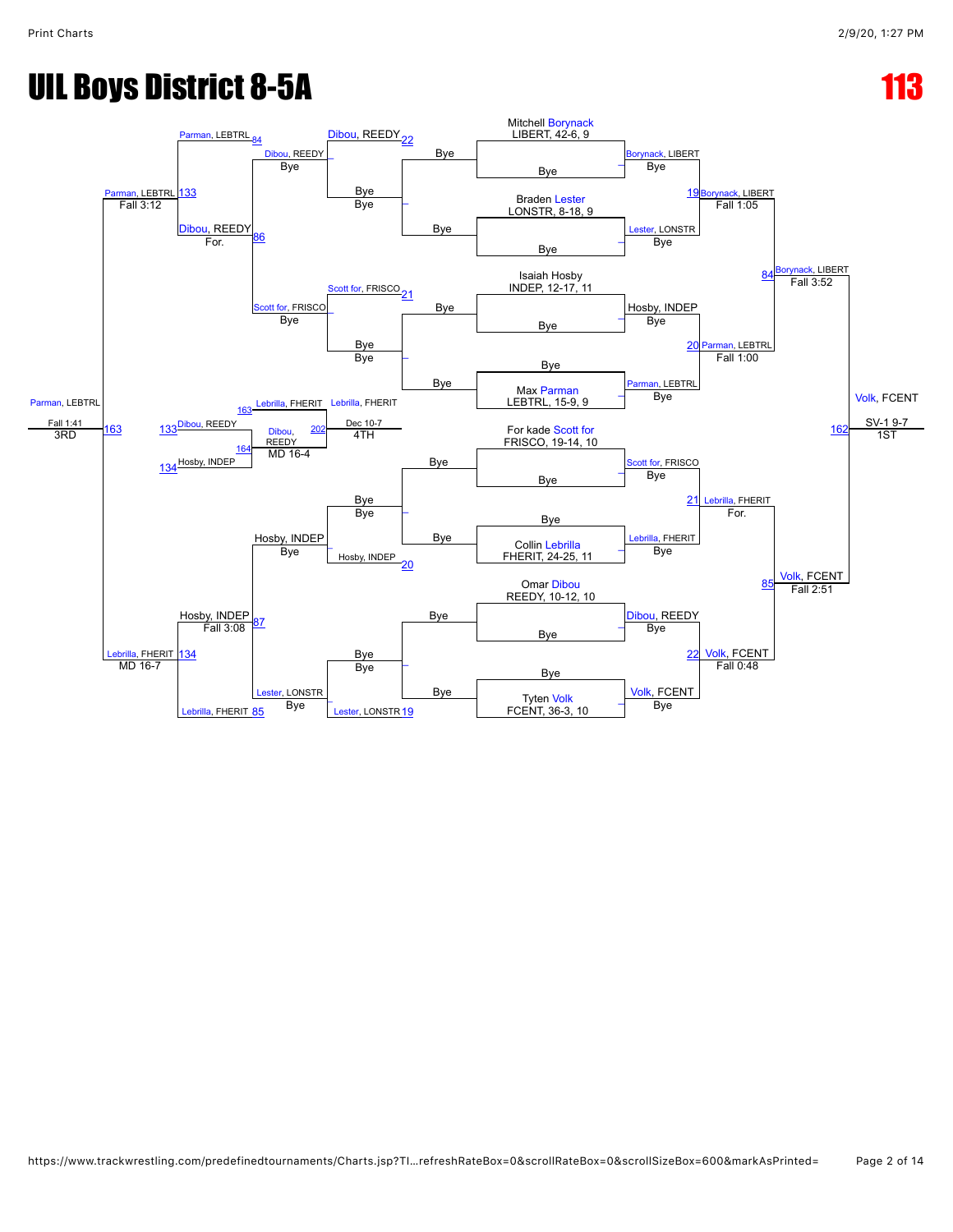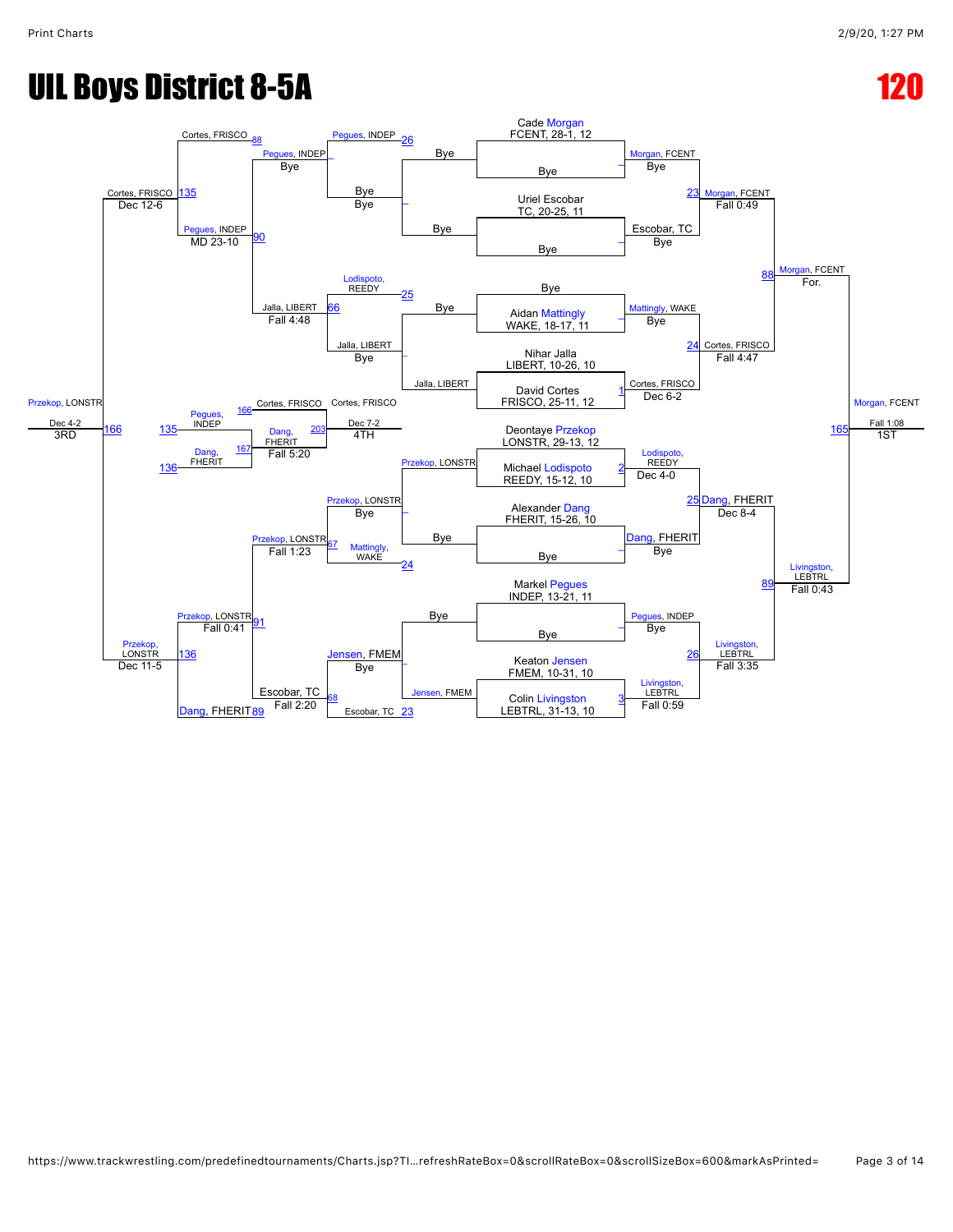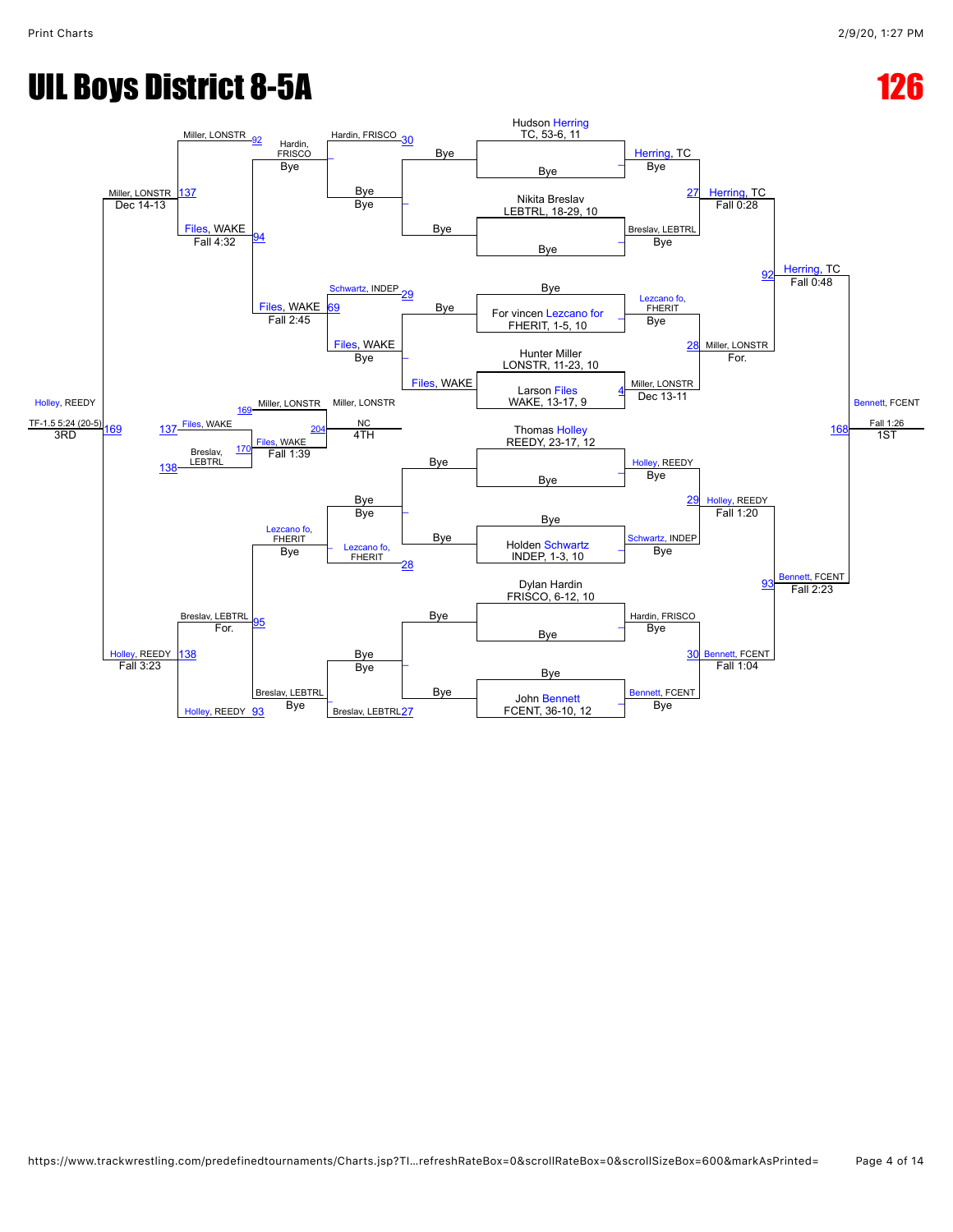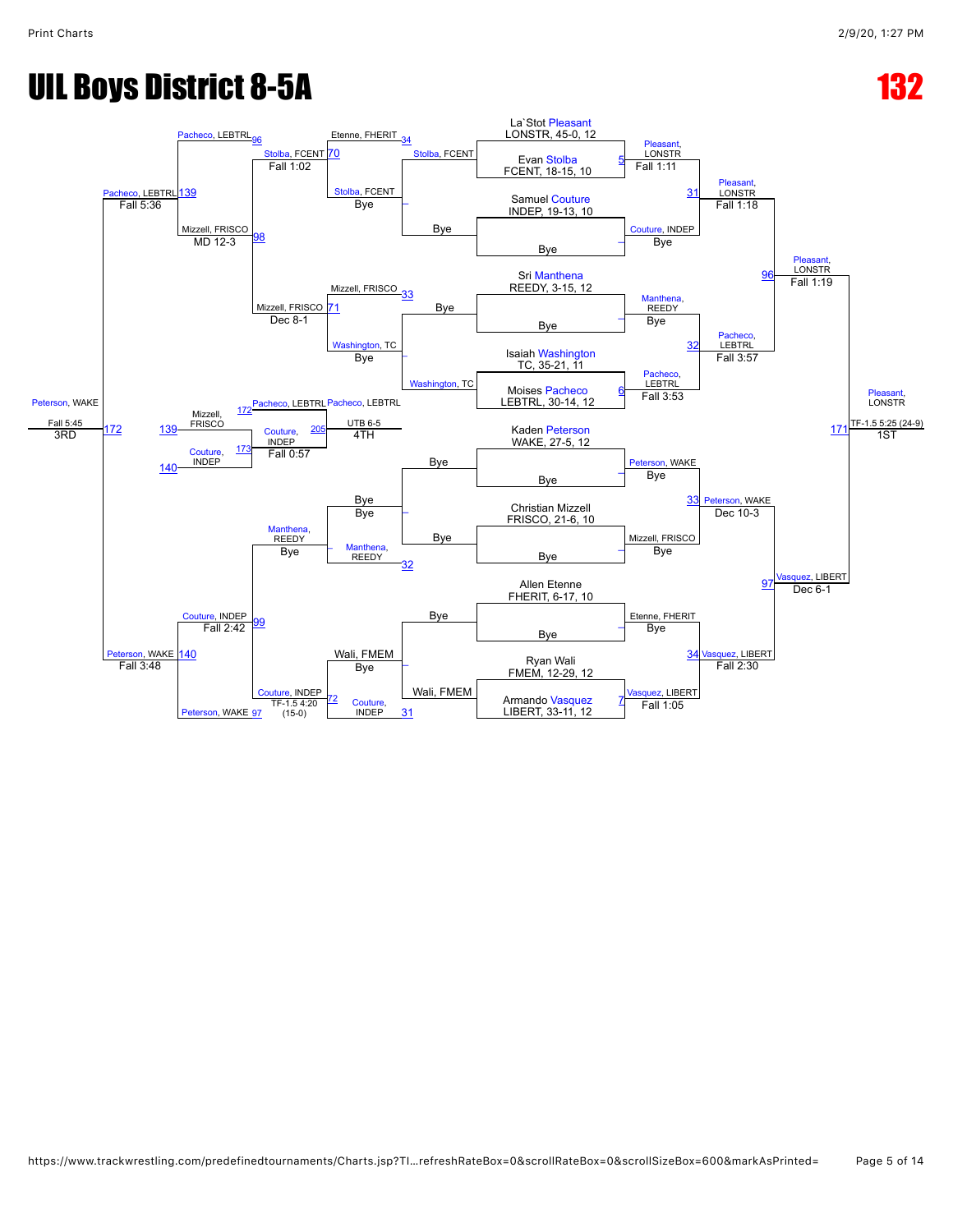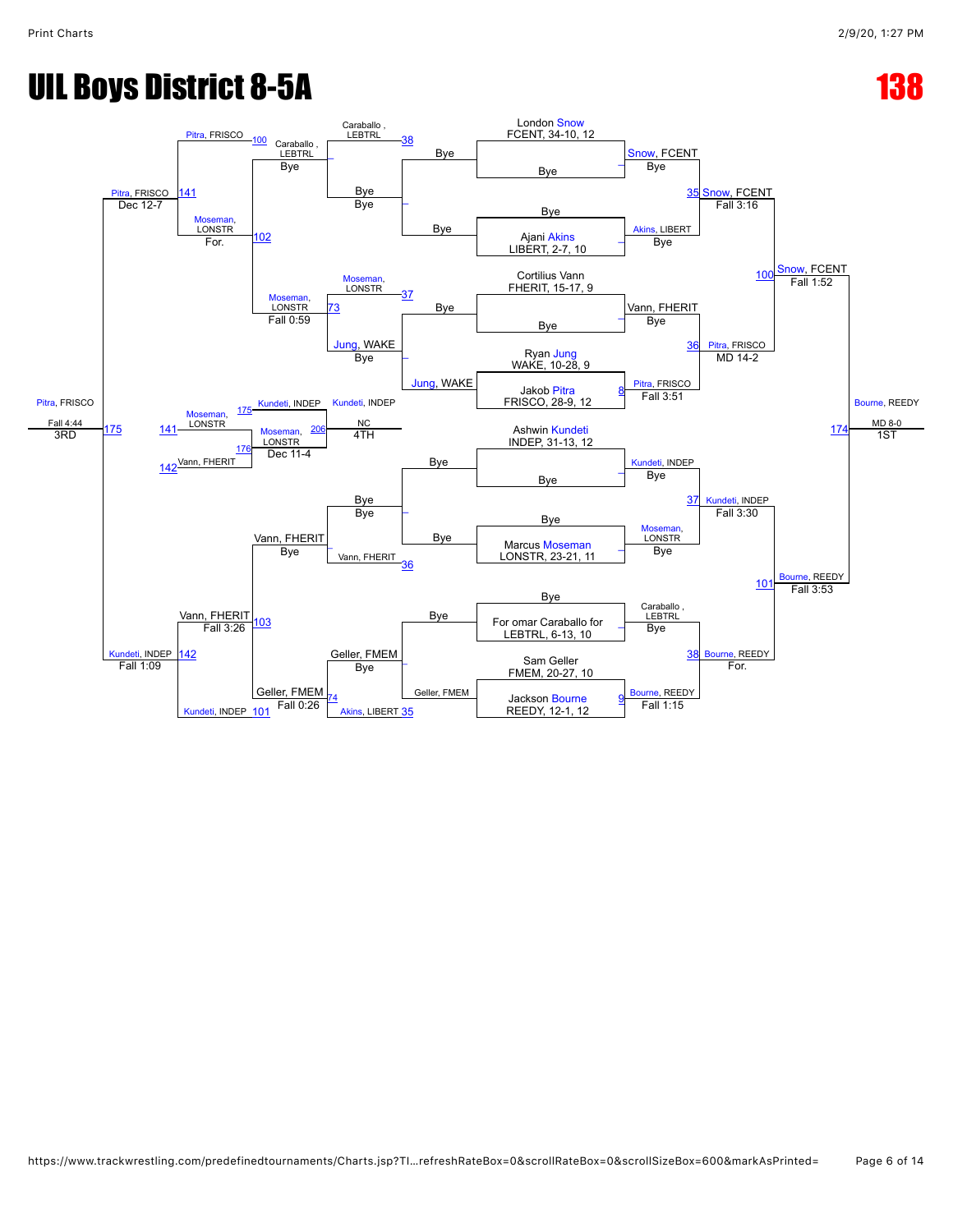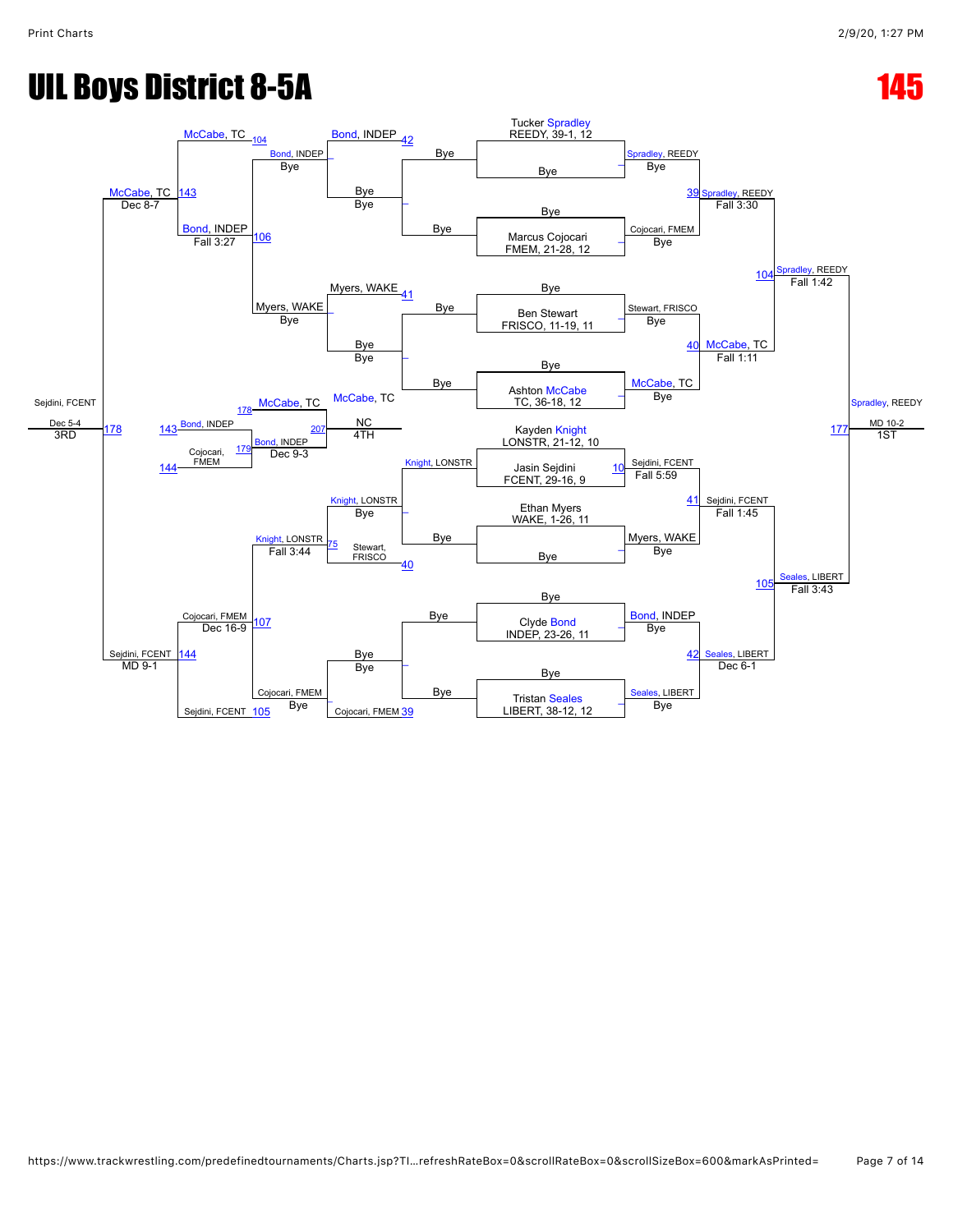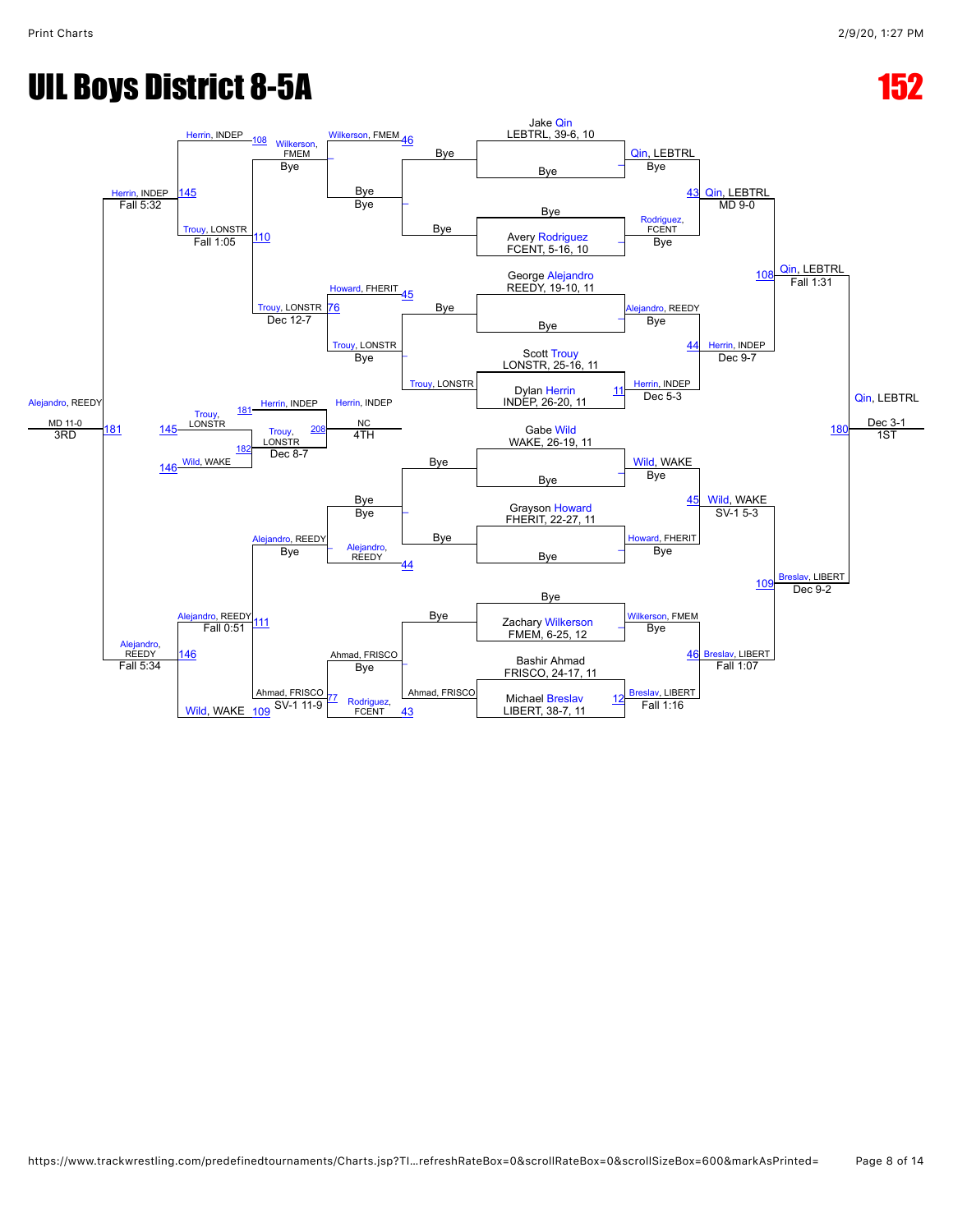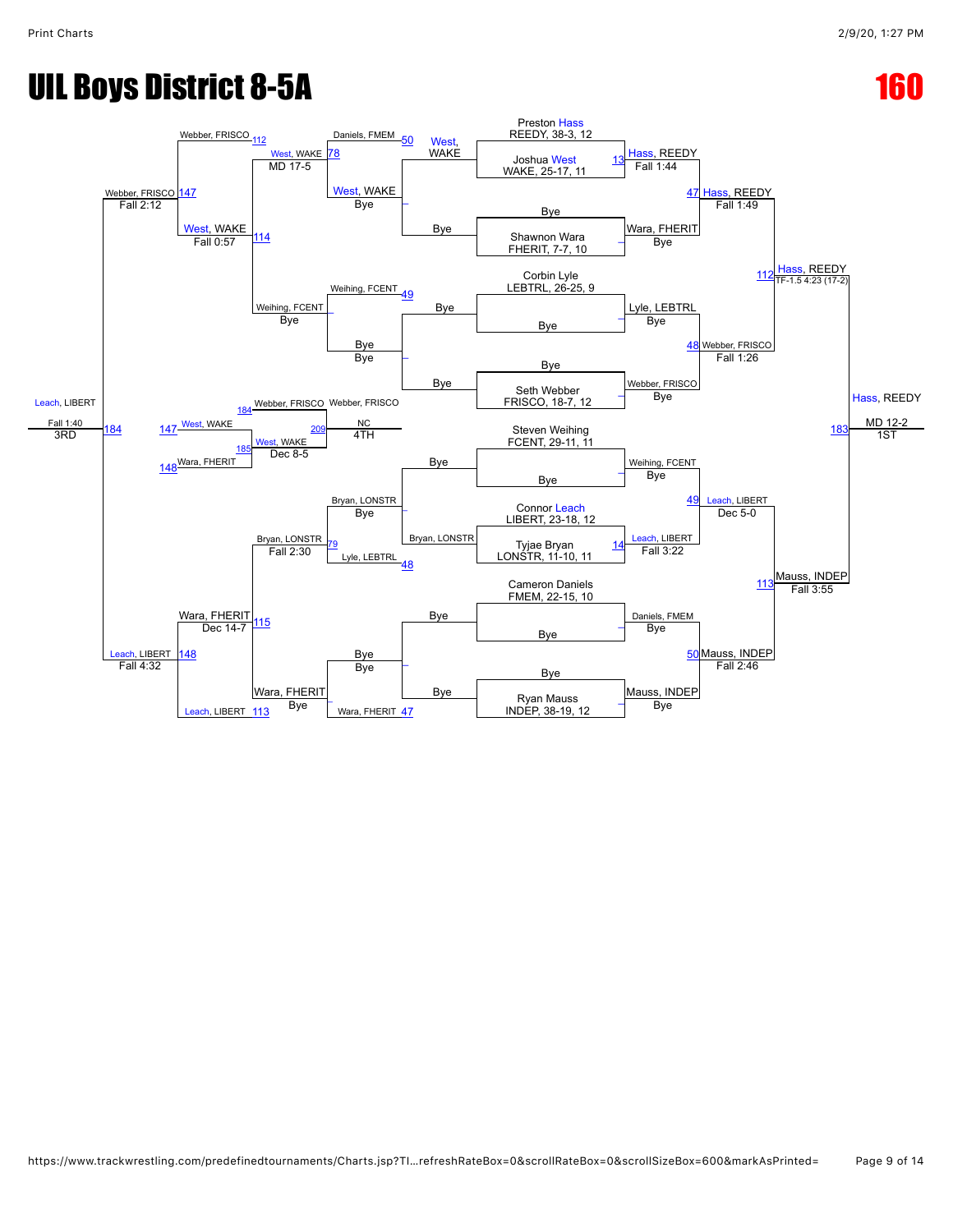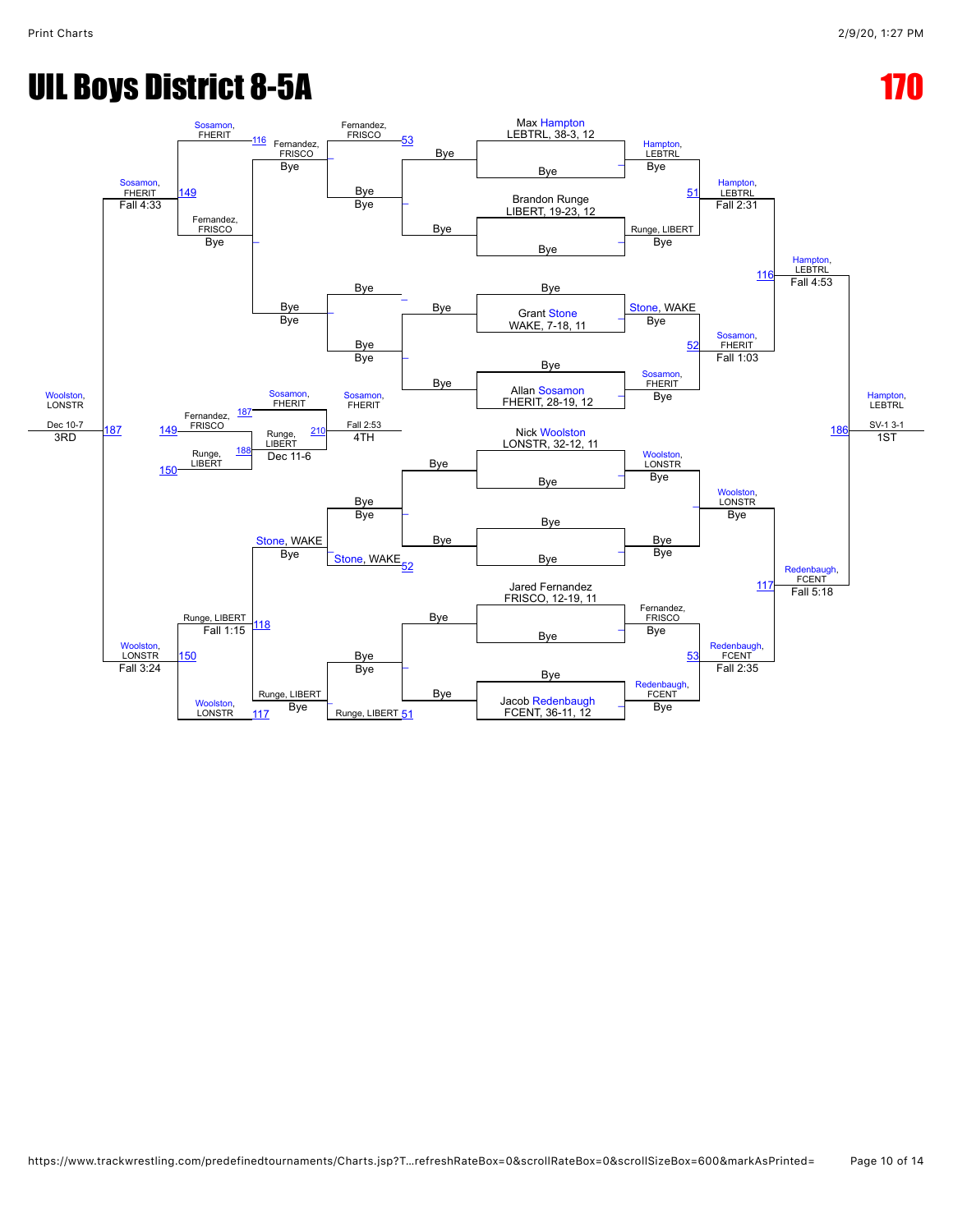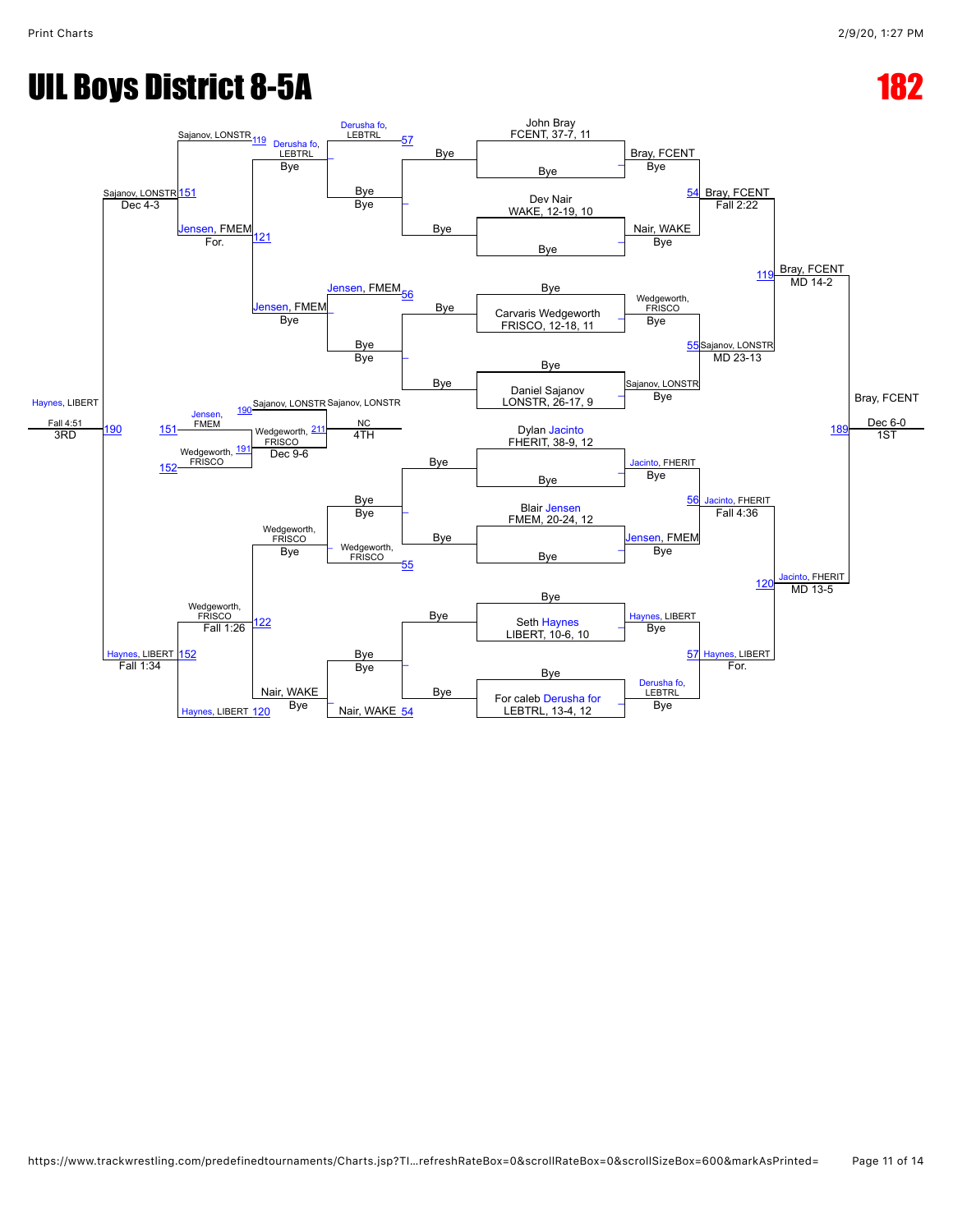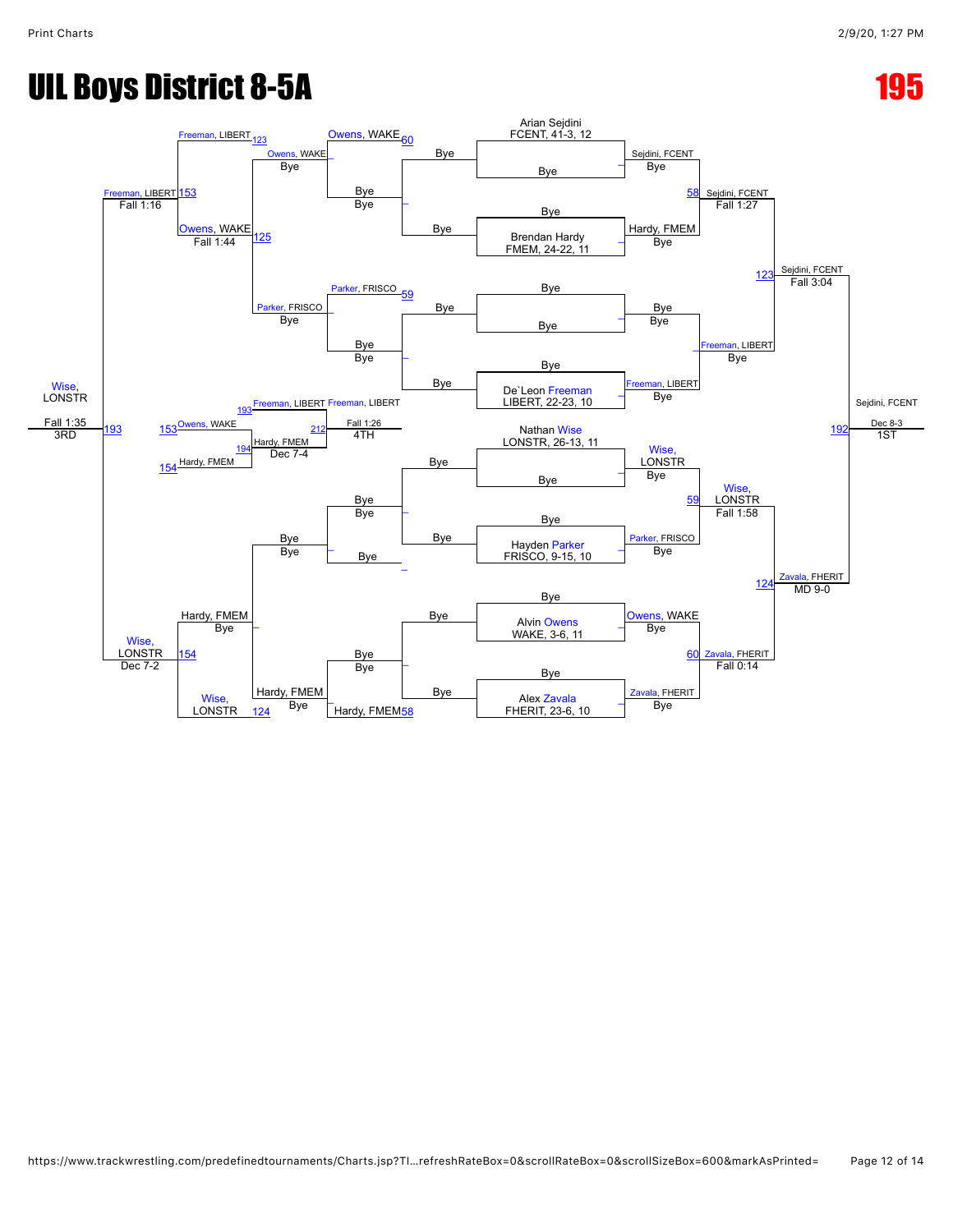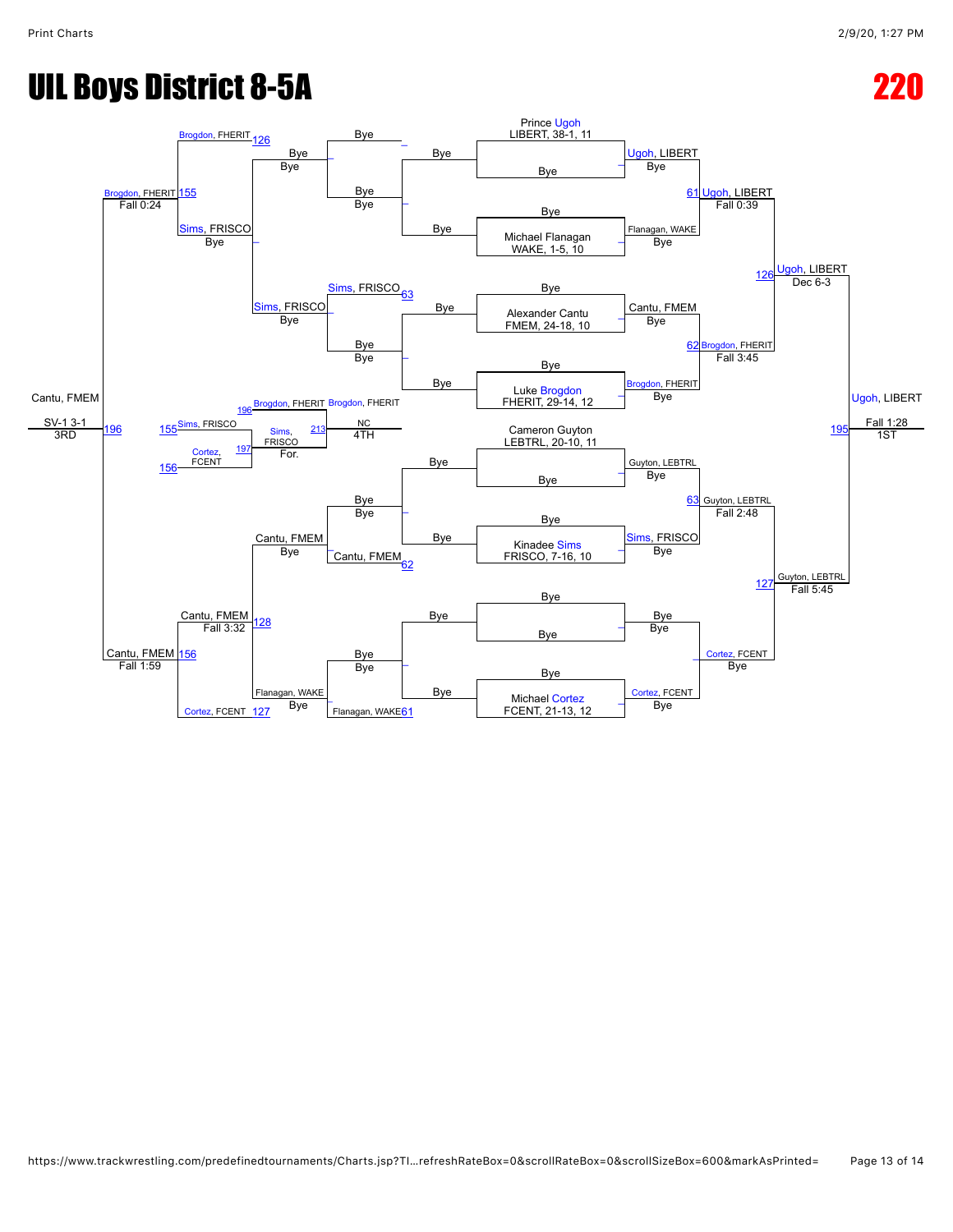